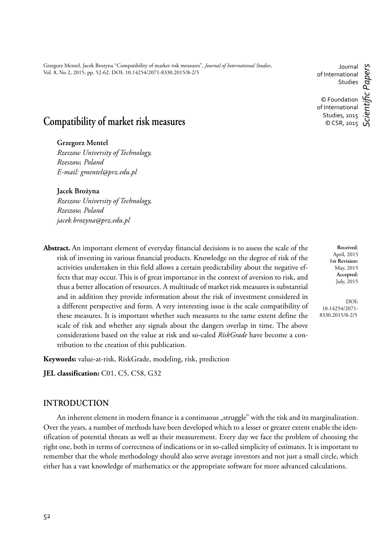Grzegorz Mentel, Jacek Brożyna "Compatibility of market risk measures", *Journal of International Studies*, Vol. 8, No 2, 2015, pp. 52-62. DOI: 10.14254/2071-8330.2015/8-2/5

#### Journal of International Studies © Foundation of International Studies, 2015 © CSR, 2015 *Scientifi c Papers*

# **Compatibility of market risk measures**

### **Grzegorz Mentel**

*Rzeszow University of Technology, Rzeszow, Poland E-mail: gmentel@prz.edu.pl*

#### **Jacek Brożyna**

*Rzeszow University of Technology, Rzeszow, Poland jacek.brozyna@prz.edu.pl* 

**Abstract.** An important element of everyday financial decisions is to assess the scale of the risk of investing in various financial products. Knowledge on the degree of risk of the activities undertaken in this field allows a certain predictability about the negative effects that may occur. This is of great importance in the context of aversion to risk, and thus a better allocation of resources. A multitude of market risk measures is substantial and in addition they provide information about the risk of investment considered in a different perspective and form. A very interesting issue is the scale compatibility of these measures. It is important whether such measures to the same extent define the scale of risk and whether any signals about the dangers overlap in time. The above considerations based on the value at risk and so-caled *RiskGrade* have become a contribution to the creation of this publication.

**Keywords:** value-at-risk, RiskGrade, modeling, risk, prediction

**JEL classification:** C01, C5, C58, G32

## **INTRODUCTION**

An inherent element in modern finance is a continuous "struggle" with the risk and its marginalization. Over the years, a number of methods have been developed which to a lesser or greater extent enable the identification of potential threats as well as their measurement. Every day we face the problem of choosing the right one, both in terms of correctness of indications or in so-called simplicity of estimates. It is important to remember that the whole methodology should also serve average investors and not just a small circle, which either has a vast knowledge of mathematics or the appropriate software for more advanced calculations.

**Received**: April, 2015 **1st Revision:** May, 2015 **Accepted:** July, 2015

DOI: 10.14254/2071- 8330.2015/8-2/5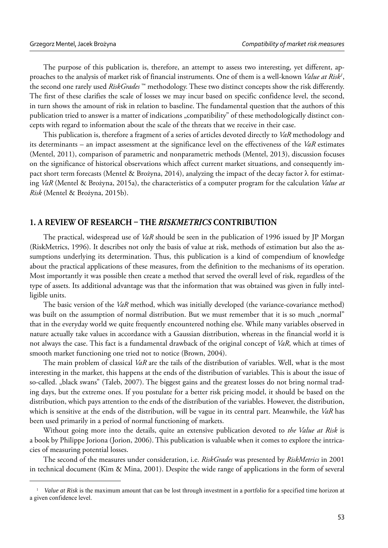The purpose of this publication is, therefore, an attempt to assess two interesting, yet different, approaches to the analysis of market risk of financial instruments. One of them is a well-known *Value at Risk<sup>1</sup>*, the second one rarely used *RiskGrades* ™ methodology. These two distinct concepts show the risk differently. The first of these clarifies the scale of losses we may incur based on specific confidence level, the second, in turn shows the amount of risk in relation to baseline. The fundamental question that the authors of this publication tried to answer is a matter of indications "compatibility" of these methodologically distinct concepts with regard to information about the scale of the threats that we receive in their case.

This publication is, therefore a fragment of a series of articles devoted directly to *VaR* methodology and its determinants – an impact assessment at the significance level on the effectiveness of the *VaR* estimates (Mentel, 2011), comparison of parametric and nonparametric methods (Mentel, 2013), discussion focuses on the significance of historical observations which affect current market situations, and consequently impact short term forecasts (Mentel & Brożyna, 2014), analyzing the impact of the decay factor  $\lambda$  for estimating *VaR* (Mentel & Brożyna, 2015a), the characteristics of a computer program for the calculation *Value at Risk* (Mentel & Brożyna, 2015b).

## **1. A REVIEW OF RESEARCH – THE** *RISKMETRICS* **CONTRIBUTION**

The practical, widespread use of *VaR* should be seen in the publication of 1996 issued by JP Morgan (RiskMetrics, 1996). It describes not only the basis of value at risk, methods of estimation but also the assumptions underlying its determination. Thus, this publication is a kind of compendium of knowledge about the practical applications of these measures, from the definition to the mechanisms of its operation. Most importantly it was possible then create a method that served the overall level of risk, regardless of the type of assets. Its additional advantage was that the information that was obtained was given in fully intelligible units.

The basic version of the *VaR* method, which was initially developed (the variance-covariance method) was built on the assumption of normal distribution. But we must remember that it is so much "normal" that in the everyday world we quite frequently encountered nothing else. While many variables observed in nature actually take values in accordance with a Gaussian distribution, whereas in the financial world it is not always the case. This fact is a fundamental drawback of the original concept of *VaR*, which at times of smooth market functioning one tried not to notice (Brown, 2004).

The main problem of classical *VaR* are the tails of the distribution of variables. Well, what is the most interesting in the market, this happens at the ends of the distribution of variables. This is about the issue of so-called. "black swans" (Taleb, 2007). The biggest gains and the greatest losses do not bring normal trading days, but the extreme ones. If you postulate for a better risk pricing model, it should be based on the distribution, which pays attention to the ends of the distribution of the variables. However, the distribution, which is sensitive at the ends of the distribution, will be vague in its central part. Meanwhile, the *VaR* has been used primarily in a period of normal functioning of markets.

Without going more into the details, quite an extensive publication devoted to *the Value at Risk* is a book by Philippe Joriona (Jorion, 2006). This publication is valuable when it comes to explore the intricacies of measuring potential losses.

The second of the measures under consideration, i.e. *RiskGrades* was presented by *RiskMetrics* in 2001 in technical document (Kim & Mina, 2001). Despite the wide range of applications in the form of several

<sup>&</sup>lt;sup>1</sup> Value at Risk is the maximum amount that can be lost through investment in a portfolio for a specified time horizon at a given confidence level.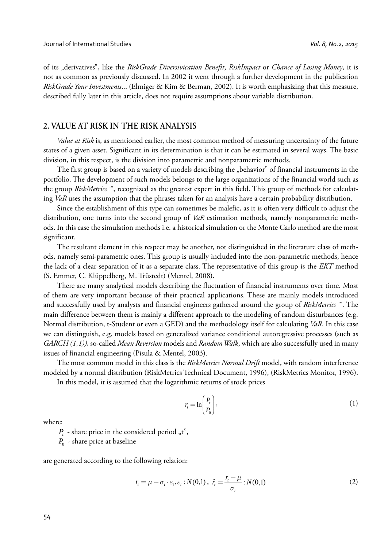of its "derivatives", like the *RiskGrade Diversivication Benefit*, *RiskImpact* or *Chance of Losing Money*, it is not as common as previously discussed. In 2002 it went through a further development in the publication *RiskGrade Your Investments*... (Elmiger & Kim & Berman, 2002). It is worth emphasizing that this measure, described fully later in this article, does not require assumptions about variable distribution.

### **2. VALUE AT RISK IN THE RISK ANALYSIS**

*Value at Risk* is, as mentioned earlier, the most common method of measuring uncertainty of the future states of a given asset. Significant in its determination is that it can be estimated in several ways. The basic division, in this respect, is the division into parametric and nonparametric methods.

The first group is based on a variety of models describing the "behavior" of financial instruments in the portfolio. The development of such models belongs to the large organizations of the financial world such as the group *RiskMetrics* ™, recognized as the greatest expert in this field. This group of methods for calculating *VaR* uses the assumption that the phrases taken for an analysis have a certain probability distribution.

Since the establishment of this type can sometimes be malefic, as it is often very difficult to adjust the distribution, one turns into the second group of *VaR* estimation methods, namely nonparametric methods. In this case the simulation methods i.e. a historical simulation or the Monte Carlo method are the most significant.

The resultant element in this respect may be another, not distinguished in the literature class of methods, namely semi-parametric ones. This group is usually included into the non-parametric methods, hence the lack of a clear separation of it as a separate class. The representative of this group is the *EKT* method (S. Emmer, C. Klüppelberg, M. Trüstedt) (Mentel, 2008).

There are many analytical models describing the fluctuation of financial instruments over time. Most of them are very important because of their practical applications. These are mainly models introduced and successfully used by analysts and financial engineers gathered around the group of *RiskMetrics* ™. The main difference between them is mainly a different approach to the modeling of random disturbances (e.g. Normal distribution, t-Student or even a GED) and the methodology itself for calculating *VaR*. In this case we can distinguish, e.g. models based on generalized variance conditional autoregressive processes (such as *GARCH (1,1)),* so-called *Mean Reversion* models and *Random Walk*, which are also successfully used in many issues of financial engineering (Pisula & Mentel, 2003).

The most common model in this class is the *RiskMetrics Normal Drift* model, with random interference modeled by a normal distribution (RiskMetrics Technical Document, 1996), (RiskMetrics Monitor, 1996).

In this model, it is assumed that the logarithmic returns of stock prices

$$
r_{i} = \ln\left(\frac{P_{i}}{P_{0}}\right),\tag{1}
$$

where:

 $P_{t}$  - share price in the considered period  $\pi$ <sup>"</sup>,

*P*<sub>0</sub> - share price at baseline

are generated according to the following relation:

$$
r_{t} = \mu + \sigma_{t} \cdot \varepsilon_{t}, \varepsilon_{t} : N(0,1), \ \tilde{r}_{t} = \frac{r_{t} - \mu}{\sigma_{t}} : N(0,1)
$$
 (2)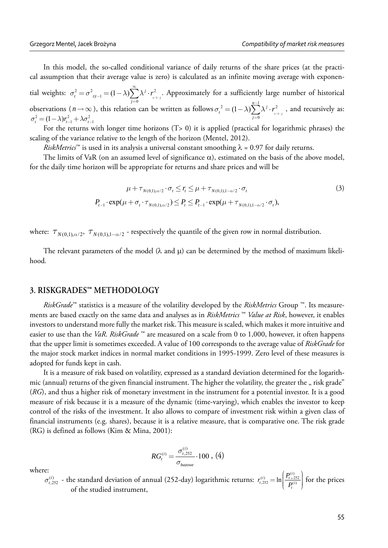In this model, the so-called conditional variance of daily returns of the share prices (at the practical assumption that their average value is zero) is calculated as an infinite moving average with exponen-

tial weights:  $\sigma_t^2 = \sigma_{t|t-1}^2 = (1 - \lambda) \sum_{j=0}^{\infty} \lambda^j \cdot r_{t-1-j}^2$  $=\sigma^2_{t|t-1} = (1-\lambda)\sum_{j=0} \lambda^j \cdot r_{t-1}^2$ . Approximately for a sufficiently large number of historical observations ( $n \to \infty$ ), this relation can be written as follows  $\sigma_i^2 = (1 - \lambda) \sum_{i=1}^{n-1} \lambda^j \cdot r_{i-1}^2$  $\sigma_t^2 = (1 - \lambda) \sum_{j=0}^{n-1} \lambda^j \cdot r_{t-1-j}^2$ bservations  $(n \to \infty)$ , this relation can be written as follows  $\sigma_t^2 = (1 - \lambda) \sum_{j=0}^{\infty} \lambda^j \cdot r_{t-j}^2$ , and recursively as:  $\sigma_t^2 = (1 - \lambda) r_{t-1}^2 + \lambda \sigma_{t-1}^2$ 

For the returns with longer time horizons  $(T> 0)$  it is applied (practical for logarithmic phrases) the scaling of the variance relative to the length of the horizon (Mentel, 2012).

*RiskMetrics*<sup>™</sup> is used in its analysis a universal constant smoothing  $\lambda = 0.97$  for daily returns.

The limits of VaR (on an assumed level of significance  $\alpha$ ), estimated on the basis of the above model, for the daily time horizon will be appropriate for returns and share prices and will be

$$
\mu + \tau_{N(0,1),\alpha/2} \cdot \sigma_t \le r_t \le \mu + \tau_{N(0,1),1-\alpha/2} \cdot \sigma_t
$$
\n
$$
P_{t-1} \cdot \exp(\mu + \sigma_t \cdot \tau_{N(0,1),\alpha/2}) \le P_t \le P_{t-1} \cdot \exp(\mu + \tau_{N(0,1),1-\alpha/2} \cdot \sigma_t),
$$
\n(3)

where:  $\tau_{N(0,1),\alpha/2}$ ,  $\tau_{N(0,1),1-\alpha/2}$  - respectively the quantile of the given row in normal distribution.

The relevant parameters of the model  $(\lambda \text{ and } \mu)$  can be determined by the method of maximum likelihood.

## **3. RISKGRADES™ METHODOLOGY**

*RiskGrade*™ statistics is a measure of the volatility developed by the *RiskMetrics* Group ™. Its measurements are based exactly on the same data and analyses as in *RiskMetrics* ™ *Value at Risk*, however, it enables investors to understand more fully the market risk. This measure is scaled, which makes it more intuitive and easier to use than the *VaR*. *RiskGrade* ™ are measured on a scale from 0 to 1,000, however, it often happens that the upper limit is sometimes exceeded. A value of 100 corresponds to the average value of *RiskGrade* for the major stock market indices in normal market conditions in 1995-1999. Zero level of these measures is adopted for funds kept in cash.

It is a measure of risk based on volatility, expressed as a standard deviation determined for the logarithmic (annual) returns of the given financial instrument. The higher the volatility, the greater the " risk grade" (*RG*), and thus a higher risk of monetary investment in the instrument for a potential investor. It is a good measure of risk because it is a measure of the dynamic (time-varying), which enables the investor to keep control of the risks of the investment. It also allows to compare of investment risk within a given class of financial instruments (e.g. shares), because it is a relative measure, that is comparative one. The risk grade (RG) is defined as follows (Kim & Mina, 2001):

$$
RG_{t}^{(i)} = \frac{\sigma_{t,252}^{(i)}}{\sigma_{bazowe}} \cdot 100 , (4)
$$

where:  $\sigma_{t,252}^{(i)}$  - the standard deviation of annual (252-day) logarithmic returns:  $r_{t,252}^{(i)} = \ln\left(\frac{P_{t+252}^{(i)}}{P_{t}^{(i)}}\right)$  for the prices of the studied instrument,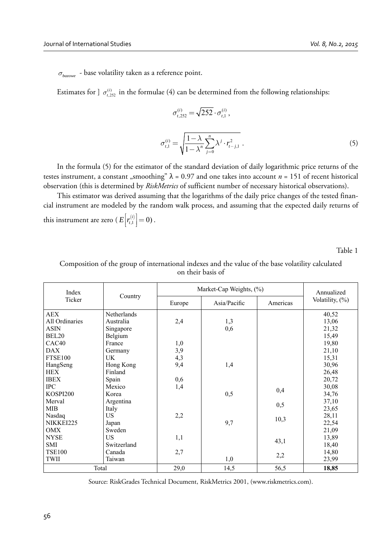$\sigma_{\text{baryon}}$  - base volatility taken as a reference point.

Estimates for ]  $\sigma^{(i)}_{t,252}$  in the formulae (4) can be determined from the following relationships:

$$
\sigma_{t,252}^{(i)} = \sqrt{252} \cdot \sigma_{t,1}^{(i)},
$$
\n
$$
\sigma_{t,1}^{(i)} = \sqrt{\frac{1 - \lambda}{1 - \lambda^n} \sum_{j=0}^{n} \lambda^j \cdot r_{t-j,1}^2}.
$$
\n(5)

In the formula (5) for the estimator of the standard deviation of daily logarithmic price returns of the testes instrument, a constant "smoothing"  $\lambda = 0.97$  and one takes into account  $n = 151$  of recent historical observation (this is determined by *RiskMetrics* of sufficient number of necessary historical observations).

This estimator was derived assuming that the logarithms of the daily price changes of the tested financial instrument are modeled by the random walk process, and assuming that the expected daily returns of this instrument are zero ( $E\left[r_{t,1}^{(i)}\right]=0$ ).

Table 1

| Index<br>Ticker   | Country     | Market-Cap Weights, (%) |              |          | Annualized      |
|-------------------|-------------|-------------------------|--------------|----------|-----------------|
|                   |             | Europe                  | Asia/Pacific | Americas | Volatility, (%) |
| <b>AEX</b>        | Netherlands |                         |              |          | 40,52           |
| All Ordinaries    | Australia   | 2,4                     | 1,3          |          | 13,06           |
| <b>ASIN</b>       | Singapore   |                         | 0,6          |          | 21,32           |
| BEL <sub>20</sub> | Belgium     |                         |              |          | 15,49           |
| CAC <sub>40</sub> | France      | 1,0                     |              |          | 19,80           |
| <b>DAX</b>        | Germany     | 3,9                     |              |          | 21,10           |
| <b>FTSE100</b>    | <b>UK</b>   | 4,3                     |              |          | 15,31           |
| HangSeng          | Hong Kong   | 9,4                     | 1,4          |          | 30,96           |
| <b>HEX</b>        | Finland     |                         |              |          | 26,48           |
| <b>IBEX</b>       | Spain       | 0,6                     |              |          | 20,72           |
| <b>IPC</b>        | Mexico      | 1,4                     |              |          | 30,08           |
| KOSPI200          | Korea       |                         | 0,5          | 0,4      | 34,76           |
| Merval            | Argentina   |                         |              |          | 37,10           |
| <b>MIB</b>        | Italy       |                         |              | 0,5      | 23,65           |
| Nasdaq            | US          | 2,2                     |              |          | 28,11           |
| NIKKEI225         | Japan       |                         | 9,7          | 10,3     | 22,54           |
| OMX               | Sweden      |                         |              |          | 21,09           |
| <b>NYSE</b>       | US          | 1,1                     |              |          | 13,89           |
| <b>SMI</b>        | Switzerland |                         |              | 43,1     | 18,40           |
| <b>TSE100</b>     | Canada      | 2,7                     |              |          | 14,80           |
| <b>TWII</b>       | Taiwan      |                         | 1,0          | 2,2      | 23,99           |
| Total             |             | 29,0                    | 14,5         | 56,5     | 18,85           |

Composition of the group of international indexes and the value of the base volatility calculated on their basis of

Source: RiskGrades Technical Document, RiskMetrics 2001, (www.riskmetrics.com).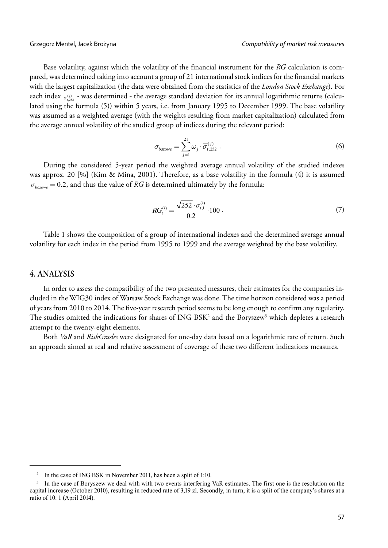Base volatility, against which the volatility of the financial instrument for the *RG* calculation is compared, was determined taking into account a group of 21 international stock indices for the financial markets with the largest capitalization (the data were obtained from the statistics of the *London Stock Exchange*). For each index  $_{\bar{\sigma}^{(j)}_{t,252}}$  - was determined - the average standard deviation for its annual logarithmic returns (calculated using the formula (5)) within 5 years, i.e. from January 1995 to December 1999. The base volatility was assumed as a weighted average (with the weights resulting from market capitalization) calculated from the average annual volatility of the studied group of indices during the relevant period:

$$
\sigma_{bazowe} = \sum_{j=1}^{21} \omega_j \cdot \overline{\sigma}_{t,252}^{(j)} . \tag{6}
$$

During the considered 5-year period the weighted average annual volatility of the studied indexes was approx. 20 [%] (Kim & Mina, 2001). Therefore, as a base volatility in the formula (4) it is assumed  $\sigma_{bq}$  = 0.2, and thus the value of *RG* is determined ultimately by the formula:

$$
RGt(i) = \frac{\sqrt{252} \cdot \sigma_{t,1}^{(i)}}{0.2} \cdot 100.
$$
 (7)

Table 1 shows the composition of a group of international indexes and the determined average annual volatility for each index in the period from 1995 to 1999 and the average weighted by the base volatility.

## **4. ANALYSIS**

In order to assess the compatibility of the two presented measures, their estimates for the companies included in the WIG30 index of Warsaw Stock Exchange was done. The time horizon considered was a period of years from 2010 to 2014. The five-year research period seems to be long enough to confirm any regularity. The studies omitted the indications for shares of ING BSK<sup>2</sup> and the Boryszew<sup>3</sup> which depletes a research attempt to the twenty-eight elements.

Both *VaR* and *RiskGrades* were designated for one-day data based on a logarithmic rate of return. Such an approach aimed at real and relative assessment of coverage of these two different indications measures.

<sup>&</sup>lt;sup>2</sup> In the case of ING BSK in November 2011, has been a split of 1:10.

<sup>&</sup>lt;sup>3</sup> In the case of Boryszew we deal with with two events interfering VaR estimates. The first one is the resolution on the capital increase (October 2010), resulting in reduced rate of 3,19 zl. Secondly, in turn, it is a split of the company's shares at a ratio of 10: 1 (April 2014).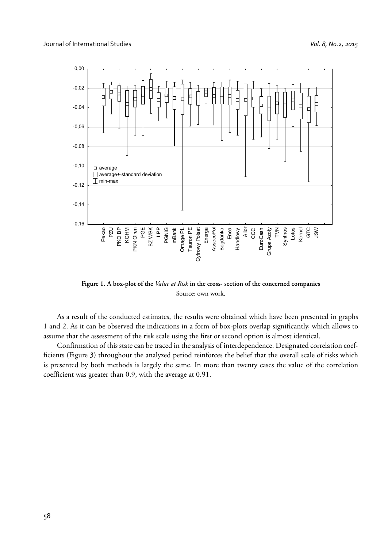

**Figure 1. A box-plot of the** *Value at Risk* **in the cross- section of the concerned companies** Source: own work.

As a result of the conducted estimates, the results were obtained which have been presented in graphs 1 and 2. As it can be observed the indications in a form of box-plots overlap significantly, which allows to assume that the assessment of the risk scale using the first or second option is almost identical.

Confirmation of this state can be traced in the analysis of interdependence. Designated correlation coefficients (Figure 3) throughout the analyzed period reinforces the belief that the overall scale of risks which is presented by both methods is largely the same. In more than twenty cases the value of the correlation coefficient was greater than 0.9, with the average at 0.91.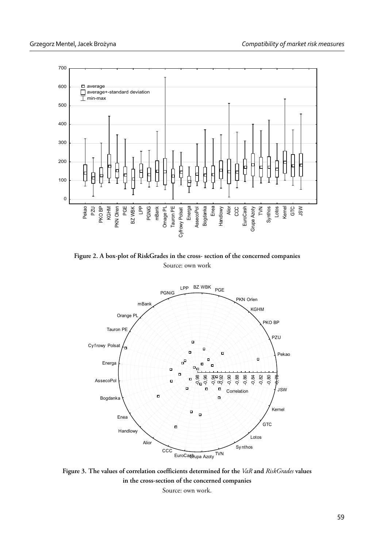

**Figure 2. A box-plot of RiskGrades in the cross- section of the concerned companies** Source: own work



**Figure 3. The values of correlation coefficients determined for the** *VaR* **and** *RiskGrades* **values in the cross-section of the concerned companies** Source: own work.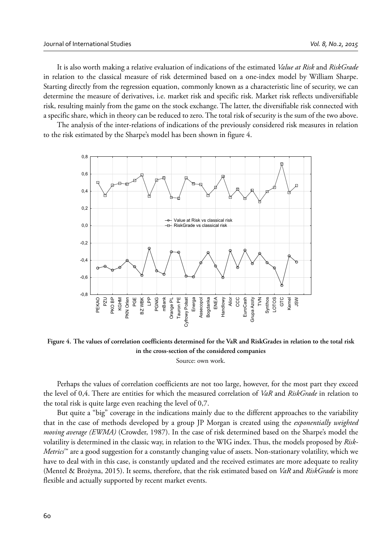It is also worth making a relative evaluation of indications of the estimated *Value at Risk* and *RiskGrade* in relation to the classical measure of risk determined based on a one-index model by William Sharpe. Starting directly from the regression equation, commonly known as a characteristic line of security, we can determine the measure of derivatives, i.e. market risk and specific risk. Market risk reflects undiversifiable risk, resulting mainly from the game on the stock exchange. The latter, the diversifiable risk connected with a specific share, which in theory can be reduced to zero. The total risk of security is the sum of the two above.

The analysis of the inter-relations of indications of the previously considered risk measures in relation to the risk estimated by the Sharpe's model has been shown in figure 4.



Figure 4. The values of correlation coefficients determined for the VaR and RiskGrades in relation to the total risk **in the cross-section of the considered companies**

Source: own work.

Perhaps the values of correlation coefficients are not too large, however, for the most part they exceed the level of 0,4. There are entities for which the measured correlation of *VaR* and *RiskGrade* in relation to the total risk is quite large even reaching the level of 0,7.

But quite a "big" coverage in the indications mainly due to the different approaches to the variability that in the case of methods developed by a group JP Morgan is created using the *exponentially weighted moving average (EWMA)* (Crowder, 1987). In the case of risk determined based on the Sharpe's model the volatility is determined in the classic way, in relation to the WIG index. Thus, the models proposed by *Risk-Metrics*™ are a good suggestion for a constantly changing value of assets. Non-stationary volatility, which we have to deal with in this case, is constantly updated and the received estimates are more adequate to reality (Mentel & Brożyna, 2015). It seems, therefore, that the risk estimated based on *VaR* and *RiskGrade* is more flexible and actually supported by recent market events.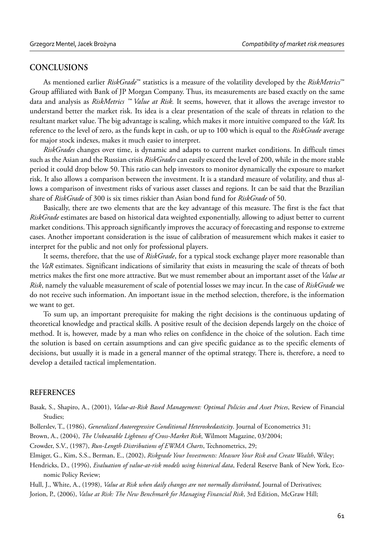## **CONCLUSIONS**

As mentioned earlier *RiskGrade*™ statistics is a measure of the volatility developed by the *RiskMetrics*™ Group affiliated with Bank of JP Morgan Company. Thus, its measurements are based exactly on the same data and analysis as *RiskMetrics ™ Value at Risk.* It seems, however, that it allows the average investor to understand better the market risk. Its idea is a clear presentation of the scale of threats in relation to the resultant market value. The big advantage is scaling, which makes it more intuitive compared to the *VaR*. Its reference to the level of zero, as the funds kept in cash, or up to 100 which is equal to the *RiskGrade* average for major stock indexes, makes it much easier to interpret.

*RiskGrades* changes over time, is dynamic and adapts to current market conditions. In difficult times such as the Asian and the Russian crisis *RiskGrades* can easily exceed the level of 200, while in the more stable period it could drop below 50. This ratio can help investors to monitor dynamically the exposure to market risk. It also allows a comparison between the investment. It is a standard measure of volatility, and thus allows a comparison of investment risks of various asset classes and regions. It can be said that the Brazilian share of *RiskGrade* of 300 is six times riskier than Asian bond fund for *RiskGrade* of 50.

Basically, there are two elements that are the key advantage of this measure. The first is the fact that *RiskGrade* estimates are based on historical data weighted exponentially, allowing to adjust better to current market conditions. This approach significantly improves the accuracy of forecasting and response to extreme cases. Another important consideration is the issue of calibration of measurement which makes it easier to interpret for the public and not only for professional players.

It seems, therefore, that the use of *RiskGrade*, for a typical stock exchange player more reasonable than the *VaR* estimates. Significant indications of similarity that exists in measuring the scale of threats of both metrics makes the first one more attractive. But we must remember about an important asset of the *Value at Risk*, namely the valuable measurement of scale of potential losses we may incur. In the case of *RiskGrade* we do not receive such information. An important issue in the method selection, therefore, is the information we want to get.

To sum up, an important prerequisite for making the right decisions is the continuous updating of theoretical knowledge and practical skills. A positive result of the decision depends largely on the choice of method. It is, however, made by a man who relies on confidence in the choice of the solution. Each time the solution is based on certain assumptions and can give specific guidance as to the specific elements of decisions, but usually it is made in a general manner of the optimal strategy. There is, therefore, a need to develop a detailed tactical implementation.

#### **REFERENCES**

Basak, S., Shapiro, A., (2001), *Value-at-Risk Based Management: Optimal Policies and Asset Prices*, Review of Financial Studies;

Bollerslev, T., (1986), *Generalized Autoregressive Conditional Heteroskedasticity*. Journal of Econometrics 31;

Brown, A., (2004), *The Unbearable Lightness of Cross-Market Risk*, Wilmott Magazine, 03/2004;

Crowder, S.V., (1987), *Run-Length Distributions of EWMA Charts*, Technometrics, 29;

Elmiger, G., Kim, S.S., Berman, E., (2002), *Riskgrade Your Investments: Measure Your Risk and Create Wealth*, Wiley;

Hendricks, D., (1996), *Evaluation of value-at-risk models using historical data*, Federal Reserve Bank of New York, Economic Policy Review;

Hull, J., White, A., (1998), *Value at Risk when daily changes are not normally distributed*, Journal of Derivatives;

Jorion, P., (2006), *Value at Risk: The New Benchmark for Managing Financial Risk*, 3rd Edition, McGraw Hill;